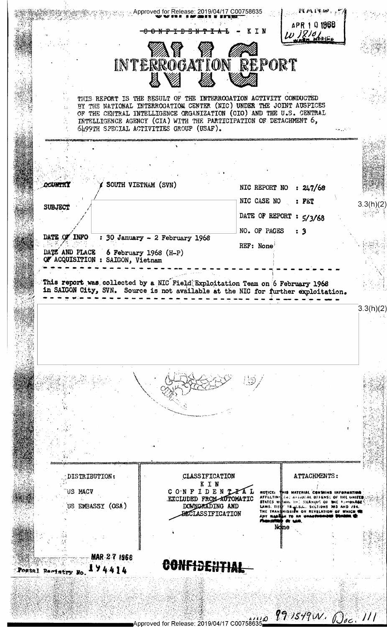Example Approved for Release: 2019/04/17 C00758635 APR 1 0 1968 KIN 1210 INTERROGATION REPORT THIS REPORT IS THE RESULT OF THE INTERROGATION ACTIVITY CONDUCTED BY THE NATIONAL INTERROGATION CENTER (NIC) UNDER THE JOINT AUSPICES OF THE CENTRAL INTELLIGENCE ORGANIZATION (CIO) AND THE U.S. CENTRAL INTELLIGENCE AGENCY (CIA) WITH THE PARTICIPATION OF DETACHMENT 6, 6499TH SPECIAL ACTIVITIES GROUP (USAF). SOUTH VIETNAM (SVN) **COURTH!** NIC REPORT NO : 247/68 NIC CASE NO  $:$  PET  $3.3(h)(2)$ SUBJECT DATE OF REPORT : 5/3/68 NO. OF PAGES  $\mathbf{\cdot}$  3 DATE OF INFO :  $30$  January - 2 February 1968 REF: None DATE AND PLACE 6 February 1968  $(H-P)$ QF ACQUISITION : SAIGON, Vietnam This report was collected by a NIC Field Exploitation Team on 6 February 1968 in SAIGON City, SVN. Source is not available at the NIC for further exploitation.  $3.3(h)(2)$ ATTACHMENTS: DISTRIBUTION: CLASSIFICATION KIN US MACV CONFIDENTIAL NOTICE: THIS MATERIAL CONTAINS INFORMATION EXCLUDED FROM AUTOMATIC US EMBASSY (OSA) DOMNORADING AND **BECLASS IF ICATION**  $\overline{10}$  as ne MAR-2-7-1968 CONFIDENTIAL 174414 Postal Remistry No  $\mu_{\rm 2.12}$  and  $\eta_{\rm 2.849}$  (N  $\mu_{\rm 2.25}$  )  $\mu_{\rm 1.11}$ Approved for Release: 2019/04/17 C007586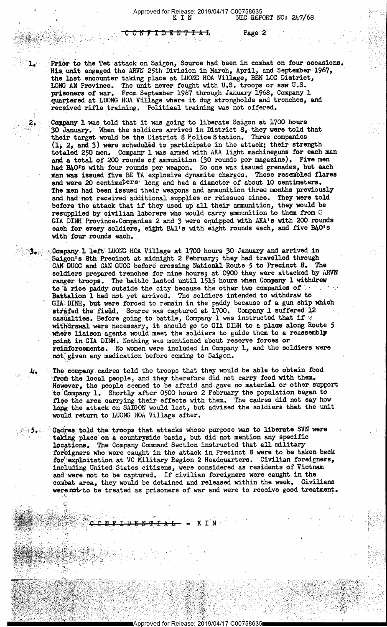Page 2

**FIDENTIAL** 

Prior to the Tet attack on Saigon, Source had been in combat on four occasions. His unit engaged the ARVN 25th Division in March, April, and September 1967, the last encounter taking place at LUONC HOA Village, BEN LOG District, LONG AN Province. The unit never fought with U.S. troops or saw U.S. prisoners of war. From September 1967 through January 1968, Company l quartered at LUONG HOA Village where it dug strongholds and trenches, and» 'received rifle training. Politiaal training was not offered.

2012년 1월 20일 - 2012년 1월 20일 - 20일 - 20일 - 20일 - 20일 - 20일 - 20일 - 20일 - 20일 - 20일 - 20일 - 20일 - 20일 - 20일 - 20

,

 $\mathbb{R}^{3}$  , where  $\mathbb{R}^{3}$ 

'4'. 4:1,»--.1 5.

1.;

4. A. (20)

ح تاریخ  $\sim$  1, O  $\sim$  1,

,..~,.\.-\

 $N$  is a set of  $\mathcal{P}^{\text{max}}_{\text{max}}$  . The set of  $\mathcal{P}^{\text{max}}_{\text{max}}$ <sup>1</sup>-'.. .  $\sim$  .  $\sim$ .7 nu--,-<.;»Y;~. ' ..' ' ,—\*€-'~'-w\*'w5v~'ir T .>'-,%:.\..@ <sup>~</sup> . ;;

...- ~rI\ \_,, .. . »~,,». .». \_:..- .. ,'-\_..\, .£ <sup>A</sup> ,. . ,1, .

 $\mathcal{L}^{\bullet}$  ,  $\mathcal{L}^{\bullet}$  ,  $\mathcal{L}^{\bullet}$  ,  $\mathcal{L}^{\bullet}$  ,  $\mathcal{L}^{\bullet}$  ,  $\mathcal{L}^{\bullet}$  ,  $\mathcal{L}^{\bullet}$  ,  $\mathcal{L}^{\bullet}$  ,  $\mathcal{L}^{\bullet}$ 

I

1' STORE

-,. .v,-

PROBLEMENT (PORT ' '@YMER'). IS TO ' 'L' YOU'LL LE ST

 $\mathcal{W}$  , and  $\mathcal{W}$  , and  $\mathcal{W}$  , we have the set о,

 $\mathbb{Z} \oplus \mathbb{Z}$  or  $\mathbb{Z} \oplus \mathbb{Z} \oplus \mathbb{Z}$  . If we can expect the  $\mathbb{Z}$ 

 $\sim$  ,  $\sim$  ,  $\sim$  ,  $\sim$  ,  $\sim$  ,  $\sim$  ,  $\sim$  ,  $\sim$  ,  $\sim$  ,  $\sim$  ,  $\sim$  ,  $\sim$  ,  $\sim$  ,  $\sim$  ,  $\sim$ 

 $\mathcal{L}$ 

1/,'"¢,§':<,7c\_"3'.'+")\_.-\_"§I}- mg' 1"\_';'f . .=\":'\_ ~-\*\_, - .'

- -1:» "

. .\_t.. . .

5:.-vi.\$':,§\_;1;\1'.n}-.4;f.f;-~~j '..',1§ .','g-.19: ."~5\'.~'-'.-i' <sup>5</sup> .\_,\_, .\_ ,.\_\_ .\_ . .. -

19 31 32 32 33 4 5 4 5 4 5

.- .\_g,,\_,,\_~\_,;.'.,!Q,\_,2.E\_a4A\_'v,,\_,t\_,:\_\_,:.\_v\_. . .\_.- . \_\_ .- ,- .\_ . xl .. ,. . . 1. |..! . .. .. Q. .. .. . ». . . ~~ '..<.- -. '. - '.';3"'7-.;.';'»\Z1'>'\*\_§\'v'1§I'f'E.»%.§ W:>?\"é'55i'-P=§:3~'~'i"?'§-§-\*1'-"'\$5'1'= '--'-f="==t.-.' w

.;;.'.:;,\_,\,\2.»\_.\.-111.'.-{pry.,,§;§;;v',,,)\_\_'?-»,-£3.-hp-'}>§=;..\_;§J-,\_-5 '\_.">\_':' .1; -\_--\_- ..n . <1?-":1-—-.=\_s=;?-',=-"i-~av,='=",'1'.="r;->.121:'-;.':cf»1»-.:\-'1: , 21'.-:~,.r ~12 ;".~-:.-.=.="'\_ "

e

 $\sim$  , which is a set of the set of the set of the set of the set of the set of the set of the set of the set of the set of the set of the set of the set of the set of the set of the set of the set of the set of the set o

\* ',-.»'?1,\_»-.-\',.5..; \_ \ <'\_§. .;l-1, 1" ' - -. -

. . <sup>v</sup> .;1~> .

'-as -"F! we .' ;,~:,-.:\*.=-.,~\_\\_>i=;'J,f:~,w~! ".:,.'.1- :=~. .;. \.. " , , . - 3.. 7 . \_ -» v -

,  $\mathbb{Z}^{\mathbb{Z}}$  ,  $\mathbb{Z}^{\mathbb{Z}}$  ,  $\mathbb{Z}^{\mathbb{Z}}$  ,  $\mathbb{Z}^{\mathbb{Z}}$  ,  $\mathbb{C}$  . On  $\mathbb{P}$  if  $\mathbb{D}$  is  $N-\mathbb{P}$  . A d  $-$  we keep  $\mathbb{Z}$  .  $\mathbb{Z}$  .  $\mathbb{Z}$  .  $\mathbb{Z}$  .  $\mathbb{Z}$  .  $\mathbb{Z}$  .  $\mathbb{Z}$  .  $\mathbb$ 

.:-,'-n~-';.,z.1.- <sup>K</sup>;' v - - -

 $\begin{split} \mathbf{P}_\mathbf{A} & = \mathbf{P}_\mathbf{A} \mathbf{P}_\mathbf{A} \mathbf{P}_\mathbf{A} \mathbf{P}_\mathbf{A} \mathbf{P}_\mathbf{A} \mathbf{P}_\mathbf{A} \mathbf{P}_\mathbf{A} \mathbf{P}_\mathbf{A} \mathbf{P}_\mathbf{A} \mathbf{P}_\mathbf{A} \mathbf{P}_\mathbf{A} \mathbf{P}_\mathbf{A} \mathbf{P}_\mathbf{A} \mathbf{P}_\mathbf{A} \mathbf{P}_\mathbf{A} \mathbf{P}_\mathbf{A} \mathbf{P}_\mathbf$ 

 $\cdots$  .  $\mathcal{L} = \mathcal{L} \mathcal{L} \mathcal{L}$  ,  $\mathcal{L} = \mathcal{L} \mathcal{L}$ ., , f <sup>A</sup> .

""'"""\*""""""\*'~.<~-..».- =-. .':\*-,Tv'.~-:'":t-."='-'-":""\*\*- s

A5-\_-£'>"\_<55=-'£;~1;;~;1{;3.1.: "1-\_»'f'l~;-\_ ~ \_ \_ \_\_ , -\_.,,~:.;\_,\_g~\_>,.-,3;,,,\_\_-.\_.';;@; <'-~- -- \_\_1\_.>..- . ., " -- - -. . .\_ / . \_. . .~ . , . <sup>=</sup>

y. 7 III. 7 III. 7 III. 7 III. 7 III. 7 III. 7 III. 7 III. 7 III. 7 III. 7 III. 7 III. 7 III. 7 III. 7 III. 7 I<br>TAARIYAYA MARKA MARKARA MARKA HARKA MARKA MARKA MARKA MARKA MARKA MARKA MARKA MARKA MARKA MARKA MARKA MARKA

it ti <sup>1</sup><sup>I</sup>

.'\_,.'.-.75-\_\ .\_\_. 1.. .;.1\_,- .1 ,, \_~ . \_ .

 $\frac{1}{2}$  ,  $\frac{1}{2}$  ,  $\frac{1}{2}$  ,  $\frac{1}{2}$  ,  $\frac{1}{2}$  ,  $\frac{1}{2}$  ,  $\frac{1}{2}$  ,  $\frac{1}{2}$  ,  $\frac{1}{2}$  ,  $\frac{1}{2}$  ,  $\frac{1}{2}$  ,  $\frac{1}{2}$  ,  $\frac{1}{2}$  ,  $\frac{1}{2}$  ,  $\frac{1}{2}$  ,  $\frac{1}{2}$  ,  $\frac{1}{2}$  ,  $\frac{1}{2}$  ,  $\frac{1$ 

~1930~100 100 100 100 100 100 100

-.E'1s;\*x,\_'J.~=<-;\*:=;a¥i2>s,},"1111,,-,1,.1:s&1:';;:,a~5;'}y:.4'a,=='.'A>111'= .0 -¢='\_.- -.- ;\ ,

..

Company l was told that it was going to liberate Saigon at l700 hours 30 January.' when the soldiers arrived in District 8, they were told that their target would be the District 8 Police Station. Three companies (1)  $2<sub>j</sub>$  and 3) were scheduled to participate in the attack; their strength totaled 250 men. Company l was armed with AKA light machineguns for each man and a total of 200 rounds of ammunition (30 rounds per magazine). Five men had B40<sup>s</sup>s with four rounds per weapon. No one was issued grenades, but each man was issued five BE TA explosive dynamite charges. These resembled flares and were 20 centime<sup>ters</sup> long and had a diameter of about 10 centimeters. The men had been issued their weapons and ammunition three months previously and had not received additional supplies or reissues since. They were told before the attack that if they used up all their ammunition, they would be resupplied by civilian laborers who would carry ammunition to them from  $\mathbb G$ GIA DINH Province-Companies 2 and 3 were equipped with AKA's with 200 rounds each for every soldiers, eight B41's with eight rounds each, and five B40's with four rounds each.

Company 1 left LUONG HOA Village at 1700 hours 30 January and arrived in Saigon's 8th Precinct at midnight 2 February; they had travelled through CAN DUOC and CAN GUOC before crossing National Route 5 to Precinct 8. The soldiers prepared trenches for nine hours; at 0900 they were attacked by ARVN ranger troops. The battle lasted until 1515 hours when Company 1 withdrew to a rice paddy outside the city because the other two companies of Battalion l had not yet arrived. The soldiers intended to withdraw to GIA DINH, but were forced to remain in the paddy because of a gun ship which strafed the fiedd. Source was captured at 1700. Company 1 suffered 12 casualties. Before going to battle, Company 1 was instructed that if  $\frac{1}{N}$ withdrawal were necessary, it should go to GIA DINH to a place along Route 5 where liaison agents would meet the soldiers to guide them to a reassembly point in GIA DINH. Nothing was mentioned about reserve forces or reinforcements. No women were included in Company 1, and the soldiers were not given any medication before coming to Saigon.

The company cadres told the troops that they would be able to obtain food from the local people, and they therefore did not carry food with them. However, the people seemed to be afraid and gave no material or other support to Company 1. Shortly after 0500 hours 2 February the population began to flee the area carrying their effects with them. The cadres did not say how long the attack on SAIGON would last, but advised the soldiers that the unit would return to LUONG HOA Village after.

Cadres told the troops that attacks whose purpose was to liberate SVN were taking place on a countrywide basis, but did not mention any specific locations. The Company Comand Section instructed that all military foreigners who were caught in the attack in Precinct 8 were to be taken back for exploitation at VC Military Region 2 Headquarters. Civilian foreigners, including United States citizens, were considered as residents of Vietnam and were not to be captured. If civilian foreigners were caught in the combat area, they would be detained and released within the week. Civilians were not to be treated as prisoners of war and were to receive good treatment.

. K I N

- \ <sup>V</sup>

.-,-»\_:~.;:!<l~-'v-"';-,\-'\*r-;-.\" 122"»-I =,='-'."-';-fie--c"-'=I21;"-1-W.-;'.w-2=.'.:>4 -.-~' ' \* .

- =.- \;~.'>.4:-1 '|~,'u'" -- - - ,~;,\_..4,'\_-.,.\_,..., ~<..;¢.-.~~\ \_, , \_... ~,

ing the company of the company of the company of the company of the company of the company of the company of t

"11-\_-,=.'.\_;~.',' 5;-13.-~\_'<-\_4.;,\_'\_:\_=-' : \_-V ;:-;~. -'-. '.\_v;,\_\_¢ -»' ..\_»,\*-,\_=,;.;'-1-:.-,= . . \_ . t . . . .-

- - :

"

\*'

, .

\_ .. ',.\_ ..,, -,.\_, ». .-

. \_~\_» <sup>v</sup>\_-,.;,=\_'\_,;\_'.H-..'a.;-¢\_-\_'-\_\_, -\_ ,' \_' . .

.'\_. 3 ,- .. . -5-\_5'.\_\_:..~¢.\*.\_;;;

. Then if we show the set of  $\mathcal{P}$  .

-=.\_ =.;.~ a.--,1-.' <sup>1</sup>

. -. '-

<sup>+</sup>.-~1., ~.

.<br>The same of the state of the state of the state of the construction of the state of the state of the state of

' .3"-I

 $\mathcal{L}_\mathcal{X}$  . The Kingdom of

1

..c..=.-;

 $\mathcal{F} \subset \mathbb{R}^{n \times n}$ 

 $\wedge$  . The set of  $\mathcal{S}$  $\mathbb{R}$  -  $\mathbb{R}$  and  $- 1.36 -$ 

T

 $\epsilon$